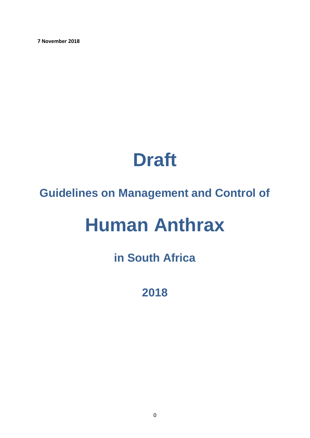**7 November 2018**

# **Draft**

# **Guidelines on Management and Control of**

# **Human Anthrax**

# **in South Africa**

**2018**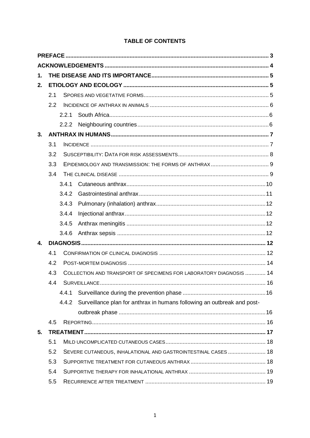| <b>TABLE OF CONTENTS</b> |  |
|--------------------------|--|
|--------------------------|--|

| 1. |     |       |                                                                         |  |
|----|-----|-------|-------------------------------------------------------------------------|--|
| 2. |     |       |                                                                         |  |
|    | 2.1 |       |                                                                         |  |
|    | 2.2 |       |                                                                         |  |
|    |     | 2.2.1 |                                                                         |  |
|    |     |       |                                                                         |  |
| 3. |     |       |                                                                         |  |
|    | 3.1 |       |                                                                         |  |
|    | 3.2 |       |                                                                         |  |
|    | 3.3 |       |                                                                         |  |
|    | 3.4 |       |                                                                         |  |
|    |     | 3.4.1 |                                                                         |  |
|    |     | 3.4.2 |                                                                         |  |
|    |     | 3.4.3 |                                                                         |  |
|    |     | 3.4.4 |                                                                         |  |
|    |     | 3.4.5 |                                                                         |  |
|    |     | 3.4.6 |                                                                         |  |
| 4. |     |       |                                                                         |  |
|    | 4.1 |       |                                                                         |  |
|    | 4.2 |       |                                                                         |  |
|    | 4.3 |       | COLLECTION AND TRANSPORT OF SPECIMENS FOR LABORATORY DIAGNOSIS  14      |  |
|    | 4.4 |       |                                                                         |  |
|    |     | 4.4.1 |                                                                         |  |
|    |     | 4.4.2 | Surveillance plan for anthrax in humans following an outbreak and post- |  |
|    |     |       |                                                                         |  |
|    | 4.5 |       |                                                                         |  |
| 5. |     |       |                                                                         |  |
|    | 5.1 |       |                                                                         |  |
|    | 5.2 |       | SEVERE CUTANEOUS, INHALATIONAL AND GASTROINTESTINAL CASES  18           |  |
|    | 5.3 |       |                                                                         |  |
|    | 5.4 |       |                                                                         |  |
|    | 5.5 |       |                                                                         |  |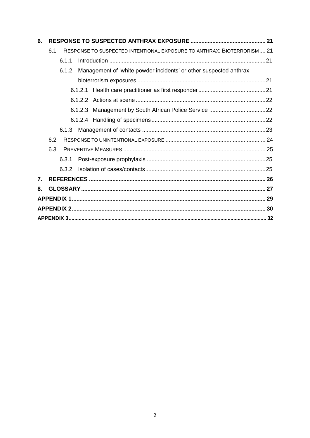| 6.               |     |       |                                                                        |  |
|------------------|-----|-------|------------------------------------------------------------------------|--|
|                  | 6.1 |       | RESPONSE TO SUSPECTED INTENTIONAL EXPOSURE TO ANTHRAX: BIOTERRORISM 21 |  |
|                  |     | 6.1.1 |                                                                        |  |
|                  |     | 6.1.2 | Management of 'white powder incidents' or other suspected anthrax      |  |
|                  |     |       |                                                                        |  |
|                  |     |       |                                                                        |  |
|                  |     |       |                                                                        |  |
|                  |     |       |                                                                        |  |
|                  |     |       |                                                                        |  |
|                  |     |       |                                                                        |  |
|                  | 6.2 |       |                                                                        |  |
|                  | 6.3 |       |                                                                        |  |
|                  |     |       |                                                                        |  |
|                  |     | 6.3.2 |                                                                        |  |
| $\overline{7}$ . |     |       |                                                                        |  |
| 8.               |     |       |                                                                        |  |
|                  |     |       |                                                                        |  |
|                  |     |       |                                                                        |  |
|                  |     |       |                                                                        |  |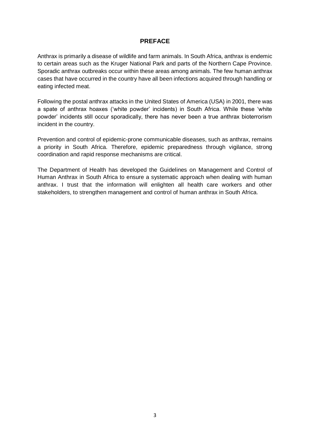#### **PREFACE**

<span id="page-3-0"></span>Anthrax is primarily a disease of wildlife and farm animals. In South Africa, anthrax is endemic to certain areas such as the Kruger National Park and parts of the Northern Cape Province. Sporadic anthrax outbreaks occur within these areas among animals. The few human anthrax cases that have occurred in the country have all been infections acquired through handling or eating infected meat.

Following the postal anthrax attacks in the United States of America (USA) in 2001, there was a spate of anthrax hoaxes ('white powder' incidents) in South Africa. While these 'white powder' incidents still occur sporadically, there has never been a true anthrax bioterrorism incident in the country.

Prevention and control of epidemic-prone communicable diseases, such as anthrax, remains a priority in South Africa. Therefore, epidemic preparedness through vigilance, strong coordination and rapid response mechanisms are critical.

The Department of Health has developed the Guidelines on Management and Control of Human Anthrax in South Africa to ensure a systematic approach when dealing with human anthrax. I trust that the information will enlighten all health care workers and other stakeholders, to strengthen management and control of human anthrax in South Africa.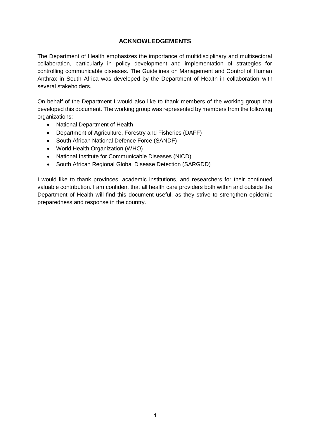#### **ACKNOWLEDGEMENTS**

<span id="page-4-0"></span>The Department of Health emphasizes the importance of multidisciplinary and multisectoral collaboration, particularly in policy development and implementation of strategies for controlling communicable diseases. The Guidelines on Management and Control of Human Anthrax in South Africa was developed by the Department of Health in collaboration with several stakeholders.

On behalf of the Department I would also like to thank members of the working group that developed this document. The working group was represented by members from the following organizations:

- National Department of Health
- Department of Agriculture, Forestry and Fisheries (DAFF)
- South African National Defence Force (SANDF)
- World Health Organization (WHO)
- National Institute for Communicable Diseases (NICD)
- South African Regional Global Disease Detection (SARGDD)

I would like to thank provinces, academic institutions, and researchers for their continued valuable contribution. I am confident that all health care providers both within and outside the Department of Health will find this document useful, as they strive to strengthen epidemic preparedness and response in the country.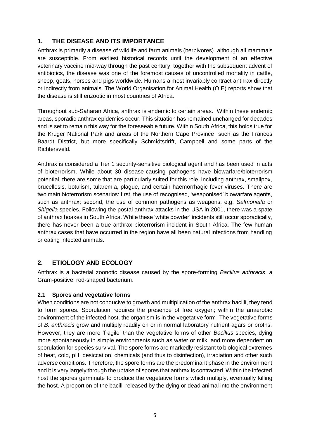#### <span id="page-5-0"></span>**1. THE DISEASE AND ITS IMPORTANCE**

Anthrax is primarily a disease of wildlife and farm animals (herbivores), although all mammals are susceptible. From earliest historical records until the development of an effective veterinary vaccine mid-way through the past century, together with the subsequent advent of antibiotics, the disease was one of the foremost causes of uncontrolled mortality in cattle, sheep, goats, horses and pigs worldwide. Humans almost invariably contract anthrax directly or indirectly from animals. The World Organisation for Animal Health (OIE) reports show that the disease is still enzootic in most countries of Africa.

Throughout sub-Saharan Africa, anthrax is endemic to certain areas. Within these endemic areas, sporadic anthrax epidemics occur. This situation has remained unchanged for decades and is set to remain this way for the foreseeable future. Within South Africa, this holds true for the Kruger National Park and areas of the Northern Cape Province, such as the Frances Baardt District, but more specifically Schmidtsdrift, Campbell and some parts of the Richtersveld.

Anthrax is considered a Tier 1 security-sensitive biological agent and has been used in acts of bioterrorism. While about 30 disease-causing pathogens have biowarfare/bioterrorism potential, there are some that are particularly suited for this role, including anthrax, smallpox, brucellosis, botulism, tularemia, plague, and certain haemorrhagic fever viruses. There are two main bioterrorism scenarios: first, the use of recognised, 'weaponised' biowarfare agents, such as anthrax; second, the use of common pathogens as weapons, e.g. *Salmonella* or *Shigella* species. Following the postal anthrax attacks in the USA in 2001, there was a spate of anthrax hoaxes in South Africa. While these 'white powder' incidents still occur sporadically, there has never been a true anthrax bioterrorism incident in South Africa. The few human anthrax cases that have occurred in the region have all been natural infections from handling or eating infected animals.

#### <span id="page-5-1"></span>**2. ETIOLOGY AND ECOLOGY**

Anthrax is a bacterial zoonotic disease caused by the spore-forming *Bacillus anthracis*, a Gram-positive, rod-shaped bacterium.

#### <span id="page-5-2"></span>**2.1 Spores and vegetative forms**

When conditions are not conducive to growth and multiplication of the anthrax bacilli, they tend to form spores. Sporulation requires the presence of free oxygen; within the anaerobic environment of the infected host, the organism is in the vegetative form. The vegetative forms of *B. anthracis* grow and multiply readily on or in normal laboratory nutrient agars or broths. However, they are more 'fragile' than the vegetative forms of other *Bacillus* species, dying more spontaneously in simple environments such as water or milk, and more dependent on sporulation for species survival. The spore forms are markedly resistant to biological extremes of heat, cold, pH, desiccation, chemicals (and thus to disinfection), irradiation and other such adverse conditions. Therefore, the spore forms are the predominant phase in the environment and it is very largely through the uptake of spores that anthrax is contracted. Within the infected host the spores germinate to produce the vegetative forms which multiply, eventually killing the host. A proportion of the bacilli released by the dying or dead animal into the environment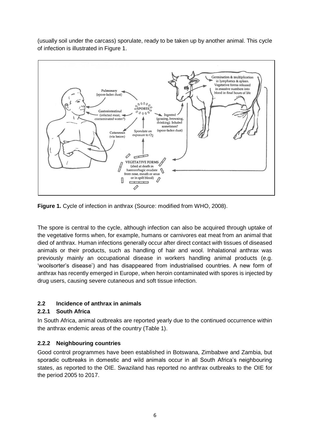(usually soil under the carcass) sporulate, ready to be taken up by another animal. This cycle of infection is illustrated in Figure 1.



**Figure 1.** Cycle of infection in anthrax (Source: modified from WHO, 2008).

The spore is central to the cycle, although infection can also be acquired through uptake of the vegetative forms when, for example, humans or carnivores eat meat from an animal that died of anthrax. Human infections generally occur after direct contact with tissues of diseased animals or their products, such as handling of hair and wool. Inhalational anthrax was previously mainly an occupational disease in workers handling animal products (e.g. 'woolsorter's disease') and has disappeared from industrialised countries. A new form of anthrax has recently emerged in Europe, when heroin contaminated with spores is injected by drug users, causing severe cutaneous and soft tissue infection.

#### <span id="page-6-0"></span>**2.2 Incidence of anthrax in animals**

#### <span id="page-6-1"></span>**2.2.1 South Africa**

In South Africa, animal outbreaks are reported yearly due to the continued occurrence within the anthrax endemic areas of the country (Table 1).

#### <span id="page-6-2"></span>**2.2.2 Neighbouring countries**

Good control programmes have been established in Botswana, Zimbabwe and Zambia, but sporadic outbreaks in domestic and wild animals occur in all South Africa's neighbouring states, as reported to the OIE. Swaziland has reported no anthrax outbreaks to the OIE for the period 2005 to 2017.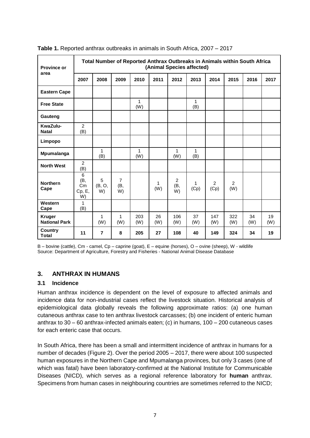| <b>Province or</b>                    | Total Number of Reported Anthrax Outbreaks in Animals within South Africa<br>(Animal Species affected) |                   |                             |            |           |                             |                     |                        |            |           |           |
|---------------------------------------|--------------------------------------------------------------------------------------------------------|-------------------|-----------------------------|------------|-----------|-----------------------------|---------------------|------------------------|------------|-----------|-----------|
| area                                  | 2007                                                                                                   | 2008              | 2009                        | 2010       | 2011      | 2012                        | 2013                | 2014                   | 2015       | 2016      | 2017      |
| <b>Eastern Cape</b>                   |                                                                                                        |                   |                             |            |           |                             |                     |                        |            |           |           |
| <b>Free State</b>                     |                                                                                                        |                   |                             | 1<br>(W)   |           |                             | 1<br>(B)            |                        |            |           |           |
| Gauteng                               |                                                                                                        |                   |                             |            |           |                             |                     |                        |            |           |           |
| KwaZulu-<br><b>Natal</b>              | $\overline{c}$<br>(B)                                                                                  |                   |                             |            |           |                             |                     |                        |            |           |           |
| Limpopo                               |                                                                                                        |                   |                             |            |           |                             |                     |                        |            |           |           |
| Mpumalanga                            |                                                                                                        | 1<br>(B)          |                             | 1<br>(W)   |           | $\mathbf{1}$<br>(W)         | $\mathbf{1}$<br>(B) |                        |            |           |           |
| <b>North West</b>                     | $\overline{c}$<br>(B)                                                                                  |                   |                             |            |           |                             |                     |                        |            |           |           |
| <b>Northern</b><br>Cape               | 6<br>(B,<br>Cm<br>Cp, E,<br>W)                                                                         | 5<br>(B, O,<br>W) | $\overline{7}$<br>(B,<br>W) |            | 1<br>(W)  | $\overline{2}$<br>(B,<br>W) | 1<br>(Cp)           | $\overline{2}$<br>(Cp) | 2<br>(W)   |           |           |
| Western<br>Cape                       | 1<br>(B)                                                                                               |                   |                             |            |           |                             |                     |                        |            |           |           |
| <b>Kruger</b><br><b>National Park</b> |                                                                                                        | 1<br>(W)          | 1<br>(W)                    | 203<br>(W) | 26<br>(W) | 106<br>(W)                  | 37<br>(W)           | 147<br>(W)             | 322<br>(W) | 34<br>(W) | 19<br>(W) |
| Country<br><b>Total</b>               | 11                                                                                                     | $\overline{7}$    | 8                           | 205        | 27        | 108                         | 40                  | 149                    | 324        | 34        | 19        |

**Table 1.** Reported anthrax outbreaks in animals in South Africa, 2007 – 2017

B – bovine (cattle), Cm - camel, Cp – caprine (goat), E – equine (horses), O – ovine (sheep), W - wildlife Source: Department of Agriculture, Forestry and Fisheries - National Animal Disease Database

#### <span id="page-7-0"></span>**3. ANTHRAX IN HUMANS**

#### <span id="page-7-1"></span>**3.1 Incidence**

Human anthrax incidence is dependent on the level of exposure to affected animals and incidence data for non-industrial cases reflect the livestock situation. Historical analysis of epidemiological data globally reveals the following approximate ratios: (a) one human cutaneous anthrax case to ten anthrax livestock carcasses; (b) one incident of enteric human anthrax to 30 – 60 anthrax-infected animals eaten; (c) in humans, 100 – 200 cutaneous cases for each enteric case that occurs.

In South Africa, there has been a small and intermittent incidence of anthrax in humans for a number of decades (Figure 2). Over the period 2005 – 2017, there were about 100 suspected human exposures in the Northern Cape and Mpumalanga provinces, but only 3 cases (one of which was fatal) have been laboratory-confirmed at the National Institute for Communicable Diseases (NICD), which serves as a regional reference laboratory for **human** anthrax. Specimens from human cases in neighbouring countries are sometimes referred to the NICD;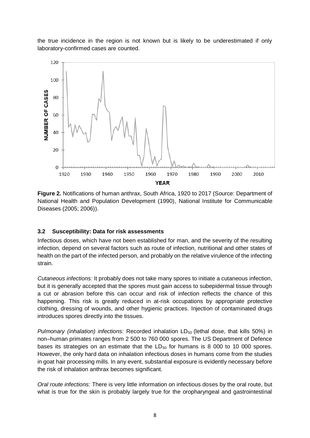the true incidence in the region is not known but is likely to be underestimated if only laboratory-confirmed cases are counted.



**Figure 2.** Notifications of human anthrax, South Africa, 1920 to 2017 (Source: Department of National Health and Population Development (1990), National Institute for Communicable Diseases (2005; 2006)).

#### <span id="page-8-0"></span>**3.2 Susceptibility: Data for risk assessments**

Infectious doses, which have not been established for man, and the severity of the resulting infection, depend on several factors such as route of infection, nutritional and other states of health on the part of the infected person, and probably on the relative virulence of the infecting strain.

*Cutaneous infections:* It probably does not take many spores to initiate a cutaneous infection, but it is generally accepted that the spores must gain access to subepidermal tissue through a cut or abrasion before this can occur and risk of infection reflects the chance of this happening. This risk is greatly reduced in at-risk occupations by appropriate protective clothing, dressing of wounds, and other hygienic practices. Injection of contaminated drugs introduces spores directly into the tissues.

*Pulmonary (inhalation) infections:* Recorded inhalation LD<sub>50</sub> (lethal dose, that kills 50%) in non–human primates ranges from 2 500 to 760 000 spores. The US Department of Defence bases its strategies on an estimate that the  $LD_{50}$  for humans is 8 000 to 10 000 spores. However, the only hard data on inhalation infectious doses in humans come from the studies in goat hair processing mills. In any event, substantial exposure is evidently necessary before the risk of inhalation anthrax becomes significant.

*Oral route infections:* There is very little information on infectious doses by the oral route, but what is true for the skin is probably largely true for the oropharyngeal and gastrointestinal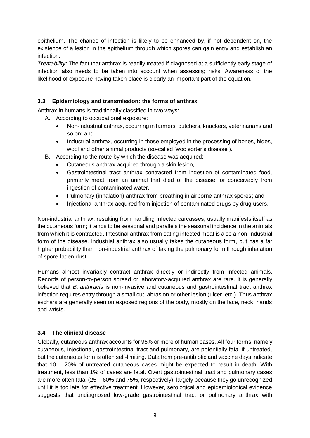epithelium. The chance of infection is likely to be enhanced by, if not dependent on, the existence of a lesion in the epithelium through which spores can gain entry and establish an infection.

*Treatability:* The fact that anthrax is readily treated if diagnosed at a sufficiently early stage of infection also needs to be taken into account when assessing risks. Awareness of the likelihood of exposure having taken place is clearly an important part of the equation.

#### <span id="page-9-0"></span>**3.3 Epidemiology and transmission: the forms of anthrax**

Anthrax in humans is traditionally classified in two ways:

- A. According to occupational exposure:
	- Non-industrial anthrax, occurring in farmers, butchers, knackers, veterinarians and so on; and
	- Industrial anthrax, occurring in those employed in the processing of bones, hides, wool and other animal products (so-called 'woolsorter's disease').
- B. According to the route by which the disease was acquired:
	- Cutaneous anthrax acquired through a skin lesion,
	- Gastrointestinal tract anthrax contracted from ingestion of contaminated food, primarily meat from an animal that died of the disease, or conceivably from ingestion of contaminated water,
	- Pulmonary (inhalation) anthrax from breathing in airborne anthrax spores; and
	- Injectional anthrax acquired from injection of contaminated drugs by drug users.

Non-industrial anthrax, resulting from handling infected carcasses, usually manifests itself as the cutaneous form; it tends to be seasonal and parallels the seasonal incidence in the animals from which it is contracted. Intestinal anthrax from eating infected meat is also a non-industrial form of the disease. Industrial anthrax also usually takes the cutaneous form, but has a far higher probability than non-industrial anthrax of taking the pulmonary form through inhalation of spore-laden dust.

Humans almost invariably contract anthrax directly or indirectly from infected animals. Records of person-to-person spread or laboratory-acquired anthrax are rare. It is generally believed that *B. anthracis* is non-invasive and cutaneous and gastrointestinal tract anthrax infection requires entry through a small cut, abrasion or other lesion (ulcer, etc.). Thus anthrax eschars are generally seen on exposed regions of the body, mostly on the face, neck, hands and wrists.

#### <span id="page-9-1"></span>**3.4 The clinical disease**

Globally, cutaneous anthrax accounts for 95% or more of human cases. All four forms, namely cutaneous, injectional, gastrointestinal tract and pulmonary, are potentially fatal if untreated, but the cutaneous form is often self-limiting. Data from pre-antibiotic and vaccine days indicate that 10 – 20% of untreated cutaneous cases might be expected to result in death. With treatment, less than 1% of cases are fatal. Overt gastrointestinal tract and pulmonary cases are more often fatal (25 – 60% and 75%, respectively), largely because they go unrecognized until it is too late for effective treatment. However, serological and epidemiological evidence suggests that undiagnosed low-grade gastrointestinal tract or pulmonary anthrax with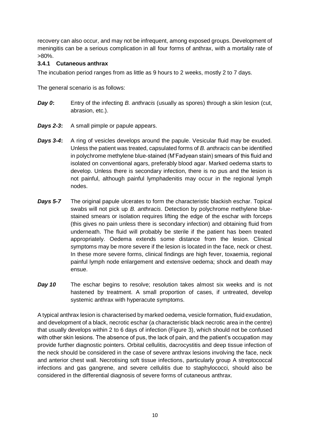recovery can also occur, and may not be infrequent, among exposed groups. Development of meningitis can be a serious complication in all four forms of anthrax, with a mortality rate of >80%.

#### <span id="page-10-0"></span>**3.4.1 Cutaneous anthrax**

The incubation period ranges from as little as 9 hours to 2 weeks, mostly 2 to 7 days.

The general scenario is as follows:

- *Day 0***:** Entry of the infecting *B. anthracis* (usually as spores) through a skin lesion (cut, abrasion, etc.).
- *Days 2-3***:** A small pimple or papule appears.
- *Days 3-4***:** A ring of vesicles develops around the papule. Vesicular fluid may be exuded. Unless the patient was treated, capsulated forms of *B. anthracis* can be identified in polychrome methylene blue-stained (M'Fadyean stain) smears of this fluid and isolated on conventional agars, preferably blood agar. Marked oedema starts to develop. Unless there is secondary infection, there is no pus and the lesion is not painful, although painful lymphadenitis may occur in the regional lymph nodes.
- *Days 5-7* The original papule ulcerates to form the characteristic blackish eschar. Topical swabs will not pick up *B. anthracis*. Detection by polychrome methylene bluestained smears or isolation requires lifting the edge of the eschar with forceps (this gives no pain unless there is secondary infection) and obtaining fluid from underneath. The fluid will probably be sterile if the patient has been treated appropriately. Oedema extends some distance from the lesion. Clinical symptoms may be more severe if the lesion is located in the face, neck or chest. In these more severe forms, clinical findings are high fever, toxaemia, regional painful lymph node enlargement and extensive oedema; shock and death may ensue.
- *Day 10* The eschar begins to resolve; resolution takes almost six weeks and is not hastened by treatment. A small proportion of cases, if untreated, develop systemic anthrax with hyperacute symptoms.

A typical anthrax lesion is characterised by marked oedema, vesicle formation, fluid exudation, and development of a black, necrotic eschar (a characteristic black necrotic area in the centre) that usually develops within 2 to 6 days of infection (Figure 3), which should not be confused with other skin lesions. The absence of pus, the lack of pain, and the patient's occupation may provide further diagnostic pointers. Orbital cellulitis, dacrocystitis and deep tissue infection of the neck should be considered in the case of severe anthrax lesions involving the face, neck and anterior chest wall. Necrotising soft tissue infections, particularly group A streptococcal infections and gas gangrene, and severe cellulitis due to staphylococci, should also be considered in the differential diagnosis of severe forms of cutaneous anthrax.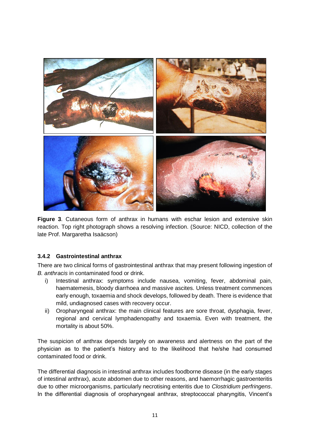

**Figure 3**. Cutaneous form of anthrax in humans with eschar lesion and extensive skin reaction. Top right photograph shows a resolving infection. (Source: NICD, collection of the late Prof. Margaretha Isaäcson)

#### <span id="page-11-0"></span>**3.4.2 Gastrointestinal anthrax**

There are two clinical forms of gastrointestinal anthrax that may present following ingestion of *B. anthracis* in contaminated food or drink.

- i) Intestinal anthrax: symptoms include nausea, vomiting, fever, abdominal pain, haematemesis, bloody diarrhoea and massive ascites. Unless treatment commences early enough, toxaemia and shock develops, followed by death. There is evidence that mild, undiagnosed cases with recovery occur.
- ii) Oropharyngeal anthrax: the main clinical features are sore throat, dysphagia, fever, regional and cervical lymphadenopathy and toxaemia. Even with treatment, the mortality is about 50%.

The suspicion of anthrax depends largely on awareness and alertness on the part of the physician as to the patient's history and to the likelihood that he/she had consumed contaminated food or drink.

The differential diagnosis in intestinal anthrax includes foodborne disease (in the early stages of intestinal anthrax), acute abdomen due to other reasons, and haemorrhagic gastroenteritis due to other microorganisms, particularly necrotising enteritis due to *Clostridium perfringens*. In the differential diagnosis of oropharyngeal anthrax, streptococcal pharyngitis, Vincent's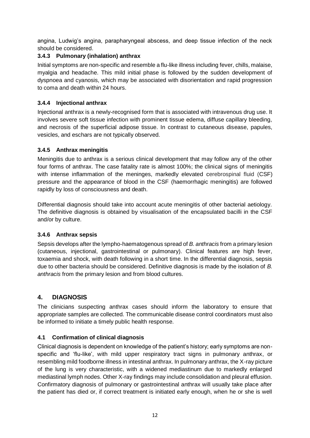angina, Ludwig's angina, parapharyngeal abscess, and deep tissue infection of the neck should be considered.

#### <span id="page-12-0"></span>**3.4.3 Pulmonary (inhalation) anthrax**

Initial symptoms are non-specific and resemble a flu-like illness including fever, chills, malaise, myalgia and headache. This mild initial phase is followed by the sudden development of dyspnoea and cyanosis, which may be associated with disorientation and rapid progression to coma and death within 24 hours.

#### <span id="page-12-1"></span>**3.4.4 Injectional anthrax**

Injectional anthrax is a newly-recognised form that is associated with intravenous drug use. It involves severe soft tissue infection with prominent tissue edema, diffuse capillary bleeding, and necrosis of the superficial adipose tissue. In contrast to cutaneous disease, papules, vesicles, and eschars are not typically observed.

#### <span id="page-12-2"></span>**3.4.5 Anthrax meningitis**

Meningitis due to anthrax is a serious clinical development that may follow any of the other four forms of anthrax. The case fatality rate is almost 100%; the clinical signs of meningitis with intense inflammation of the meninges, markedly elevated cerebrospinal fluid (CSF) pressure and the appearance of blood in the CSF (haemorrhagic meningitis) are followed rapidly by loss of consciousness and death.

Differential diagnosis should take into account acute meningitis of other bacterial aetiology. The definitive diagnosis is obtained by visualisation of the encapsulated bacilli in the CSF and/or by culture.

#### <span id="page-12-3"></span>**3.4.6 Anthrax sepsis**

Sepsis develops after the lympho-haematogenous spread of *B. anthracis* from a primary lesion (cutaneous, injectional, gastrointestinal or pulmonary). Clinical features are high fever, toxaemia and shock, with death following in a short time. In the differential diagnosis, sepsis due to other bacteria should be considered. Definitive diagnosis is made by the isolation of *B. anthracis* from the primary lesion and from blood cultures.

#### <span id="page-12-4"></span>**4. DIAGNOSIS**

The clinicians suspecting anthrax cases should inform the laboratory to ensure that appropriate samples are collected. The communicable disease control coordinators must also be informed to initiate a timely public health response.

#### <span id="page-12-5"></span>**4.1 Confirmation of clinical diagnosis**

Clinical diagnosis is dependent on knowledge of the patient's history; early symptoms are nonspecific and 'flu-like', with mild upper respiratory tract signs in pulmonary anthrax, or resembling mild foodborne illness in intestinal anthrax. In pulmonary anthrax, the X-ray picture of the lung is very characteristic, with a widened mediastinum due to markedly enlarged mediastinal lymph nodes. Other X-ray findings may include consolidation and pleural effusion. Confirmatory diagnosis of pulmonary or gastrointestinal anthrax will usually take place after the patient has died or, if correct treatment is initiated early enough, when he or she is well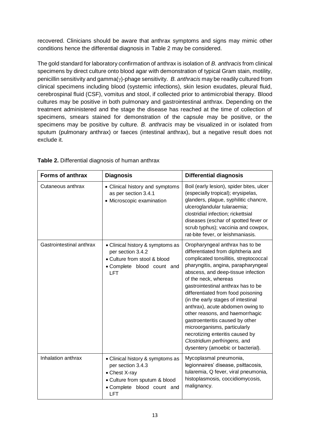recovered. Clinicians should be aware that anthrax symptoms and signs may mimic other conditions hence the differential diagnosis in Table 2 may be considered.

The gold standard for laboratory confirmation of anthrax is isolation of *B. anthracis* from clinical specimens by direct culture onto blood agar with demonstration of typical Gram stain, motility, penicillin sensitivity and gamma( $\gamma$ )-phage sensitivity. *B. anthracis* may be readily cultured from clinical specimens including blood (systemic infections), skin lesion exudates, pleural fluid, cerebrospinal fluid (CSF), vomitus and stool, if collected prior to antimicrobial therapy. Blood cultures may be positive in both pulmonary and gastrointestinal anthrax. Depending on the treatment administered and the stage the disease has reached at the time of collection of specimens, smears stained for demonstration of the capsule may be positive, or the specimens may be positive by culture. *B. anthracis* may be visualized in or isolated from sputum (pulmonary anthrax) or faeces (intestinal anthrax), but a negative result does not exclude it.

| Forms of anthrax         | <b>Diagnosis</b>                                                                                                                                    | <b>Differential diagnosis</b>                                                                                                                                                                                                                                                                                                                                                                                                                                                                                                                                                            |  |  |
|--------------------------|-----------------------------------------------------------------------------------------------------------------------------------------------------|------------------------------------------------------------------------------------------------------------------------------------------------------------------------------------------------------------------------------------------------------------------------------------------------------------------------------------------------------------------------------------------------------------------------------------------------------------------------------------------------------------------------------------------------------------------------------------------|--|--|
| Cutaneous anthrax        | • Clinical history and symptoms<br>as per section 3.4.1<br>• Microscopic examination                                                                | Boil (early lesion), spider bites, ulcer<br>(especially tropical); erysipelas,<br>glanders, plague, syphilitic chancre,<br>ulceroglandular tularaemia;<br>clostridial infection; rickettsial<br>diseases (eschar of spotted fever or<br>scrub typhus); vaccinia and cowpox,<br>rat-bite fever, or leishmaniasis.                                                                                                                                                                                                                                                                         |  |  |
| Gastrointestinal anthrax | • Clinical history & symptoms as<br>per section 3.4.2<br>• Culture from stool & blood<br>• Complete blood count and<br><b>LFT</b>                   | Oropharyngeal anthrax has to be<br>differentiated from diphtheria and<br>complicated tonsillitis, streptococcal<br>pharyngitis, angina, parapharyngeal<br>abscess, and deep-tissue infection<br>of the neck, whereas<br>gastrointestinal anthrax has to be<br>differentiated from food poisoning<br>(in the early stages of intestinal<br>anthrax), acute abdomen owing to<br>other reasons, and haemorrhagic<br>gastroenteritis caused by other<br>microorganisms, particularly<br>necrotizing enteritis caused by<br>Clostridium perfringens, and<br>dysentery (amoebic or bacterial). |  |  |
| Inhalation anthrax       | • Clinical history & symptoms as<br>per section 3.4.3<br>• Chest X-ray<br>• Culture from sputum & blood<br>· Complete blood count and<br><b>LFT</b> | Mycoplasmal pneumonia,<br>legionnaires' disease, psittacosis,<br>tularemia, Q fever, viral pneumonia,<br>histoplasmosis, coccidiomycosis,<br>malignancy.                                                                                                                                                                                                                                                                                                                                                                                                                                 |  |  |

**Table 2.** Differential diagnosis of human anthrax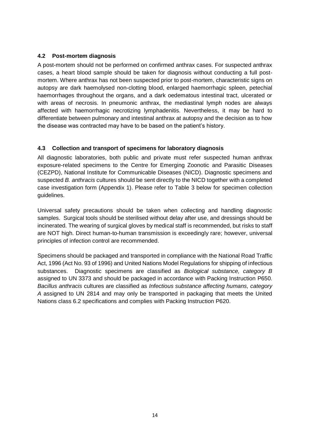#### <span id="page-14-0"></span>**4.2 Post-mortem diagnosis**

A post-mortem should not be performed on confirmed anthrax cases. For suspected anthrax cases, a heart blood sample should be taken for diagnosis without conducting a full postmortem. Where anthrax has not been suspected prior to post-mortem, characteristic signs on autopsy are dark haemolysed non-clotting blood, enlarged haemorrhagic spleen, petechial haemorrhages throughout the organs, and a dark oedematous intestinal tract, ulcerated or with areas of necrosis. In pneumonic anthrax, the mediastinal lymph nodes are always affected with haemorrhagic necrotizing lymphadenitis. Nevertheless, it may be hard to differentiate between pulmonary and intestinal anthrax at autopsy and the decision as to how the disease was contracted may have to be based on the patient's history.

#### <span id="page-14-1"></span>**4.3 Collection and transport of specimens for laboratory diagnosis**

All diagnostic laboratories, both public and private must refer suspected human anthrax exposure-related specimens to the Centre for Emerging Zoonotic and Parasitic Diseases (CEZPD), National Institute for Communicable Diseases (NICD). Diagnostic specimens and suspected *B. anthracis* cultures should be sent directly to the NICD together with a completed case investigation form (Appendix 1). Please refer to Table 3 below for specimen collection guidelines.

Universal safety precautions should be taken when collecting and handling diagnostic samples. Surgical tools should be sterilised without delay after use, and dressings should be incinerated. The wearing of surgical gloves by medical staff is recommended, but risks to staff are NOT high. Direct human-to-human transmission is exceedingly rare; however, universal principles of infection control are recommended.

Specimens should be packaged and transported in compliance with the National Road Traffic Act, 1996 (Act No. 93 of 1996) and United Nations Model Regulations for shipping of infectious substances. Diagnostic specimens are classified as *Biological substance, category B* assigned to UN 3373 and should be packaged in accordance with Packing Instruction P650. *Bacillus anthracis* cultures are classified as *Infectious substance affecting humans, category A* assigned to UN 2814 and may only be transported in packaging that meets the United Nations class 6.2 specifications and complies with Packing Instruction P620.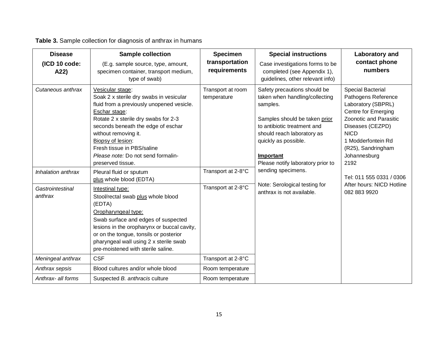# **Table 3.** Sample collection for diagnosis of anthrax in humans

| <b>Disease</b><br>(ICD 10 code:<br>A22) | <b>Sample collection</b><br>(E.g. sample source, type, amount,<br>specimen container, transport medium,<br>type of swab)                                                                                                                                                                                                                      | <b>Specimen</b><br>transportation<br>requirements | <b>Special instructions</b><br>Case investigations forms to be<br>completed (see Appendix 1),<br>guidelines, other relevant info)                                                                                                                  | Laboratory and<br>contact phone<br>numbers                                                                                                                                                                                    |
|-----------------------------------------|-----------------------------------------------------------------------------------------------------------------------------------------------------------------------------------------------------------------------------------------------------------------------------------------------------------------------------------------------|---------------------------------------------------|----------------------------------------------------------------------------------------------------------------------------------------------------------------------------------------------------------------------------------------------------|-------------------------------------------------------------------------------------------------------------------------------------------------------------------------------------------------------------------------------|
| Cutaneous anthrax                       | Vesicular stage:<br>Soak 2 x sterile dry swabs in vesicular<br>fluid from a previously unopened vesicle.<br>Eschar stage:<br>Rotate 2 x sterile dry swabs for 2-3<br>seconds beneath the edge of eschar<br>without removing it.<br>Biopsy of lesion:<br>Fresh tissue in PBS/saline<br>Please note: Do not send formalin-<br>preserved tissue. | Transport at room<br>temperature                  | Safety precautions should be<br>taken when handling/collecting<br>samples.<br>Samples should be taken prior<br>to antibiotic treatment and<br>should reach laboratory as<br>quickly as possible.<br>Important<br>Please notify laboratory prior to | <b>Special Bacterial</b><br>Pathogens Reference<br>Laboratory (SBPRL)<br>Centre for Emerging<br>Zoonotic and Parasitic<br>Diseases (CEZPD)<br><b>NICD</b><br>1 Modderfontein Rd<br>(R25), Sandringham<br>Johannesburg<br>2192 |
| Inhalation anthrax                      | Pleural fluid or sputum<br>plus whole blood (EDTA)                                                                                                                                                                                                                                                                                            | Transport at 2-8°C                                | sending specimens.                                                                                                                                                                                                                                 | Tel: 011 555 0331 / 0306                                                                                                                                                                                                      |
| Gastrointestinal<br>anthrax             | Intestinal type:<br>Stool/rectal swab plus whole blood<br>(EDTA)<br>Oropharyngeal type:<br>Swab surface and edges of suspected<br>lesions in the oropharynx or buccal cavity,<br>or on the tongue, tonsils or posterior<br>pharyngeal wall using 2 x sterile swab<br>pre-moistened with sterile saline.                                       | Transport at 2-8°C                                | Note: Serological testing for<br>anthrax is not available.                                                                                                                                                                                         | After hours: NICD Hotline<br>082 883 9920                                                                                                                                                                                     |
| Meningeal anthrax                       | <b>CSF</b>                                                                                                                                                                                                                                                                                                                                    | Transport at 2-8°C                                |                                                                                                                                                                                                                                                    |                                                                                                                                                                                                                               |
| Anthrax sepsis                          | Blood cultures and/or whole blood                                                                                                                                                                                                                                                                                                             | Room temperature                                  |                                                                                                                                                                                                                                                    |                                                                                                                                                                                                                               |
| Anthrax- all forms                      | Suspected B. anthracis culture                                                                                                                                                                                                                                                                                                                | Room temperature                                  |                                                                                                                                                                                                                                                    |                                                                                                                                                                                                                               |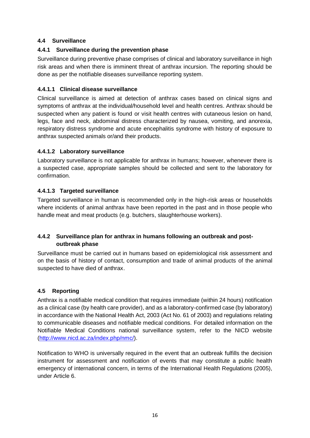#### <span id="page-16-0"></span>**4.4 Surveillance**

#### <span id="page-16-1"></span>**4.4.1 Surveillance during the prevention phase**

Surveillance during preventive phase comprises of clinical and laboratory surveillance in high risk areas and when there is imminent threat of anthrax incursion. The reporting should be done as per the notifiable diseases surveillance reporting system.

#### **4.4.1.1 Clinical disease surveillance**

Clinical surveillance is aimed at detection of anthrax cases based on clinical signs and symptoms of anthrax at the individual/household level and health centres. Anthrax should be suspected when any patient is found or visit health centres with cutaneous lesion on hand, legs, face and neck, abdominal distress characterized by nausea, vomiting, and anorexia, respiratory distress syndrome and acute encephalitis syndrome with history of exposure to anthrax suspected animals or/and their products.

#### **4.4.1.2 Laboratory surveillance**

Laboratory surveillance is not applicable for anthrax in humans; however, whenever there is a suspected case, appropriate samples should be collected and sent to the laboratory for confirmation.

#### **4.4.1.3 Targeted surveillance**

Targeted surveillance in human is recommended only in the high-risk areas or households where incidents of animal anthrax have been reported in the past and in those people who handle meat and meat products (e.g. butchers, slaughterhouse workers).

#### <span id="page-16-2"></span>**4.4.2 Surveillance plan for anthrax in humans following an outbreak and postoutbreak phase**

Surveillance must be carried out in humans based on epidemiological risk assessment and on the basis of history of contact, consumption and trade of animal products of the animal suspected to have died of anthrax.

#### <span id="page-16-3"></span>**4.5 Reporting**

Anthrax is a notifiable medical condition that requires immediate (within 24 hours) notification as a clinical case (by health care provider), and as a laboratory-confirmed case (by laboratory) in accordance with the National Health Act, 2003 (Act No. 61 of 2003) and regulations relating to communicable diseases and notifiable medical conditions. For detailed information on the Notifiable Medical Conditions national surveillance system, refer to the NICD website [\(http://www.nicd.ac.za/index.php/nmc/\)](http://www.nicd.ac.za/index.php/nmc/).

Notification to WHO is universally required in the event that an outbreak fulfills the decision instrument for assessment and notification of events that may constitute a public health emergency of international concern, in terms of the International Health Regulations (2005), under Article 6.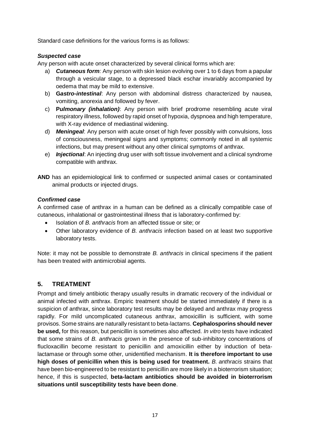Standard case definitions for the various forms is as follows:

#### *Suspected case*

Any person with acute onset characterized by several clinical forms which are:

- a) *Cutaneous form:* Any person with skin lesion evolving over 1 to 6 days from a papular through a vesicular stage, to a depressed black eschar invariably accompanied by oedema that may be mild to extensive.
- b) **G***astro-intestinal*: Any person with abdominal distress characterized by nausea, vomiting, anorexia and followed by fever.
- c) **P***ulmonary (inhalation)*: Any person with brief prodrome resembling acute viral respiratory illness, followed by rapid onset of hypoxia, dyspnoea and high temperature, with X-ray evidence of mediastinal widening.
- d) *Meningeal*: Any person with acute onset of high fever possibly with convulsions, loss of consciousness, meningeal signs and symptoms; commonly noted in all systemic infections, but may present without any other clinical symptoms of anthrax.
- e) *Injectional*: An injecting drug user with soft tissue involvement and a clinical syndrome compatible with anthrax.
- **AND** has an epidemiological link to confirmed or suspected animal cases or contaminated animal products or injected drugs.

#### *Confirmed case*

A confirmed case of anthrax in a human can be defined as a clinically compatible case of cutaneous, inhalational or gastrointestinal illness that is laboratory-confirmed by:

- Isolation of *B. anthracis* from an affected tissue or site; or
- Other laboratory evidence of *B. anthracis* infection based on at least two supportive laboratory tests.

Note: it may not be possible to demonstrate *B. anthracis* in clinical specimens if the patient has been treated with antimicrobial agents.

#### <span id="page-17-0"></span>**5. TREATMENT**

Prompt and timely antibiotic therapy usually results in dramatic recovery of the individual or animal infected with anthrax. Empiric treatment should be started immediately if there is a suspicion of anthrax, since laboratory test results may be delayed and anthrax may progress rapidly. For mild uncomplicated cutaneous anthrax, amoxicillin is sufficient, with some provisos. Some strains are naturally resistant to beta-lactams. **Cephalosporins should never be used,** for this reason, but penicillin is sometimes also affected. *In vitro* tests have indicated that some strains of *B. anthracis* grown in the presence of sub-inhibitory concentrations of flucloxacillin become resistant to penicillin and amoxicillin either by induction of betalactamase or through some other, unidentified mechanism. **It is therefore important to use high doses of penicillin when this is being used for treatment.** *B. anthracis* strains that have been bio-engineered to be resistant to penicillin are more likely in a bioterrorism situation; hence, if this is suspected, **beta-lactam antibiotics should be avoided in bioterrorism situations until susceptibility tests have been done**.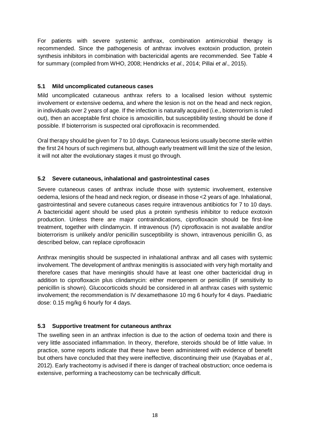For patients with severe systemic anthrax, combination antimicrobial therapy is recommended. Since the pathogenesis of anthrax involves exotoxin production, protein synthesis inhibitors in combination with bactericidal agents are recommended. See Table 4 for summary (compiled from WHO, 2008; Hendricks *et al*., 2014; Pillai *et al*., 2015).

#### <span id="page-18-0"></span>**5.1 Mild uncomplicated cutaneous cases**

Mild uncomplicated cutaneous anthrax refers to a localised lesion without systemic involvement or extensive oedema, and where the lesion is not on the head and neck region, in individuals over 2 years of age. If the infection is naturally acquired (i.e., bioterrorism is ruled out), then an acceptable first choice is amoxicillin, but susceptibility testing should be done if possible. If bioterrorism is suspected oral ciprofloxacin is recommended.

Oral therapy should be given for 7 to 10 days. Cutaneous lesions usually become sterile within the first 24 hours of such regimens but, although early treatment will limit the size of the lesion, it will not alter the evolutionary stages it must go through.

#### <span id="page-18-1"></span>**5.2 Severe cutaneous, inhalational and gastrointestinal cases**

Severe cutaneous cases of anthrax include those with systemic involvement, extensive oedema, lesions of the head and neck region, or disease in those <2 years of age. Inhalational, gastrointestinal and severe cutaneous cases require intravenous antibiotics for 7 to 10 days. A bactericidal agent should be used plus a protein synthesis inhibitor to reduce exotoxin production. Unless there are major contraindications, ciprofloxacin should be first-line treatment, together with clindamycin. If intravenous (IV) ciprofloxacin is not available and/or bioterrorism is unlikely and/or penicillin susceptibility is shown, intravenous penicillin G, as described below, can replace ciprofloxacin

Anthrax meningitis should be suspected in inhalational anthrax and all cases with systemic involvement. The development of anthrax meningitis is associated with very high mortality and therefore cases that have meningitis should have at least one other bactericidal drug in addition to ciprofloxacin plus clindamycin: either meropenem or penicillin (if sensitivity to penicillin is shown). Glucocorticoids should be considered in all anthrax cases with systemic involvement; the recommendation is IV dexamethasone 10 mg 6 hourly for 4 days. Paediatric dose: 0.15 mg/kg 6 hourly for 4 days.

#### <span id="page-18-2"></span>**5.3 Supportive treatment for cutaneous anthrax**

The swelling seen in an anthrax infection is due to the action of oedema toxin and there is very little associated inflammation. In theory, therefore, steroids should be of little value. In practice, some reports indicate that these have been administered with evidence of benefit but others have concluded that they were ineffective, discontinuing their use (Kayabas *et al.*, 2012). Early tracheotomy is advised if there is danger of tracheal obstruction; once oedema is extensive, performing a tracheostomy can be technically difficult.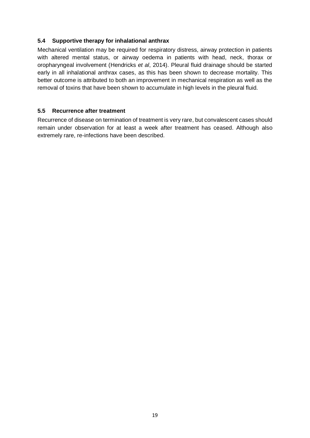#### <span id="page-19-0"></span>**5.4 Supportive therapy for inhalational anthrax**

Mechanical ventilation may be required for respiratory distress, airway protection in patients with altered mental status, or airway oedema in patients with head, neck, thorax or oropharyngeal involvement (Hendricks *et al*, 2014). Pleural fluid drainage should be started early in all inhalational anthrax cases, as this has been shown to decrease mortality. This better outcome is attributed to both an improvement in mechanical respiration as well as the removal of toxins that have been shown to accumulate in high levels in the pleural fluid.

#### <span id="page-19-1"></span>**5.5 Recurrence after treatment**

Recurrence of disease on termination of treatment is very rare, but convalescent cases should remain under observation for at least a week after treatment has ceased. Although also extremely rare, re-infections have been described.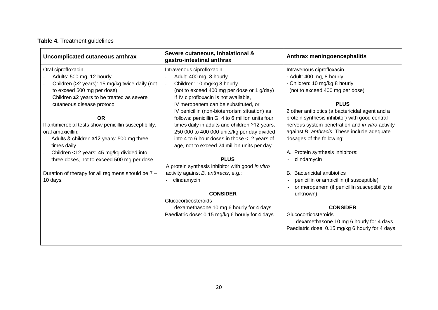# **Table 4.** Treatment guidelines

| Uncomplicated cutaneous anthrax                                                                                                                                                                                                                                                                                                                                                                                 | Severe cutaneous, inhalational &<br>gastro-intestinal anthrax                                                                                                                                                                                                                                                                                                                                                                                                                                                                                                    | Anthrax meningoencephalitis                                                                                                                                                                                                                                                                                                                                                                                         |
|-----------------------------------------------------------------------------------------------------------------------------------------------------------------------------------------------------------------------------------------------------------------------------------------------------------------------------------------------------------------------------------------------------------------|------------------------------------------------------------------------------------------------------------------------------------------------------------------------------------------------------------------------------------------------------------------------------------------------------------------------------------------------------------------------------------------------------------------------------------------------------------------------------------------------------------------------------------------------------------------|---------------------------------------------------------------------------------------------------------------------------------------------------------------------------------------------------------------------------------------------------------------------------------------------------------------------------------------------------------------------------------------------------------------------|
| Oral ciprofloxacin<br>Adults: 500 mg, 12 hourly<br>Children (>2 years): 15 mg/kg twice daily (not<br>to exceed 500 mg per dose)<br>Children ≤2 years to be treated as severe<br>cutaneous disease protocol<br><b>OR</b><br>If antimicrobial tests show penicillin susceptibility,<br>oral amoxicillin:<br>Adults & children ≥12 years: 500 mg three<br>times daily<br>Children <12 years: 45 mg/kg divided into | Intravenous ciprofloxacin<br>Adult: 400 mg, 8 hourly<br>Children: 10 mg/kg 8 hourly<br>$\overline{\phantom{a}}$<br>(not to exceed 400 mg per dose or 1 g/day)<br>If IV ciprofloxacin is not available,<br>IV meropenem can be substituted, or<br>IV penicillin (non-bioterrorism situation) as<br>follows: penicillin G, 4 to 6 million units four<br>times daily in adults and children ≥12 years,<br>250 000 to 400 000 units/kg per day divided<br>into 4 to 6 hour doses in those <12 years of<br>age, not to exceed 24 million units per day<br><b>PLUS</b> | Intravenous ciprofloxacin<br>- Adult: 400 mg, 8 hourly<br>- Children: 10 mg/kg 8 hourly<br>(not to exceed 400 mg per dose)<br><b>PLUS</b><br>2 other antibiotics (a bactericidal agent and a<br>protein synthesis inhibitor) with good central<br>nervous system penetration and in vitro activity<br>against B. anthracis. These include adequate<br>dosages of the following:<br>A. Protein synthesis inhibitors: |
| three doses, not to exceed 500 mg per dose.<br>Duration of therapy for all regimens should be 7 -<br>10 days.                                                                                                                                                                                                                                                                                                   | A protein synthesis inhibitor with good in vitro<br>activity against B. anthracis, e.g.:<br>clindamycin<br><b>CONSIDER</b><br>Glucocorticosteroids<br>dexamethasone 10 mg 6 hourly for 4 days<br>Paediatric dose: 0.15 mg/kg 6 hourly for 4 days                                                                                                                                                                                                                                                                                                                 | clindamycin<br><b>Bactericidal antibiotics</b><br>В.<br>penicillin or ampicillin (if susceptible)<br>or meropenem (if penicillin susceptibility is<br>unknown)<br><b>CONSIDER</b><br>Glucocorticosteroids<br>dexamethasone 10 mg 6 hourly for 4 days<br>Paediatric dose: 0.15 mg/kg 6 hourly for 4 days                                                                                                             |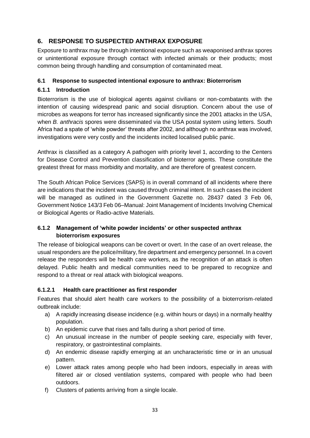#### <span id="page-21-0"></span>**6. RESPONSE TO SUSPECTED ANTHRAX EXPOSURE**

Exposure to anthrax may be through intentional exposure such as weaponised anthrax spores or unintentional exposure through contact with infected animals or their products; most common being through handling and consumption of contaminated meat.

#### <span id="page-21-1"></span>**6.1 Response to suspected intentional exposure to anthrax: Bioterrorism**

#### <span id="page-21-2"></span>**6.1.1 Introduction**

Bioterrorism is the use of biological agents against civilians or non-combatants with the intention of causing widespread panic and social disruption. Concern about the use of microbes as weapons for terror has increased significantly since the 2001 attacks in the USA, when *B. anthracis* spores were disseminated via the USA postal system using letters. South Africa had a spate of 'white powder' threats after 2002, and although no anthrax was involved, investigations were very costly and the incidents incited localised public panic.

Anthrax is classified as a category A pathogen with priority level 1, according to the Centers for Disease Control and Prevention classification of bioterror agents. These constitute the greatest threat for mass morbidity and mortality, and are therefore of greatest concern.

The South African Police Services (SAPS) is in overall command of all incidents where there are indications that the incident was caused through criminal intent. In such cases the incident will be managed as outlined in the Government Gazette no. 28437 dated 3 Feb 06, Government Notice 143/3 Feb 06–Manual: Joint Management of Incidents Involving Chemical or Biological Agents or Radio-active Materials.

#### <span id="page-21-3"></span>**6.1.2 Management of 'white powder incidents' or other suspected anthrax bioterrorism exposures**

The release of biological weapons can be covert or overt. In the case of an overt release, the usual responders are the police/military, fire department and emergency personnel. In a covert release the responders will be health care workers, as the recognition of an attack is often delayed. Public health and medical communities need to be prepared to recognize and respond to a threat or real attack with biological weapons.

#### <span id="page-21-4"></span>**6.1.2.1 Health care practitioner as first responder**

Features that should alert health care workers to the possibility of a bioterrorism-related outbreak include:

- a) A rapidly increasing disease incidence (e.g. within hours or days) in a normally healthy population.
- b) An epidemic curve that rises and falls during a short period of time.
- c) An unusual increase in the number of people seeking care, especially with fever, respiratory, or gastrointestinal complaints.
- d) An endemic disease rapidly emerging at an uncharacteristic time or in an unusual pattern.
- e) Lower attack rates among people who had been indoors, especially in areas with filtered air or closed ventilation systems, compared with people who had been outdoors.
- f) Clusters of patients arriving from a single locale.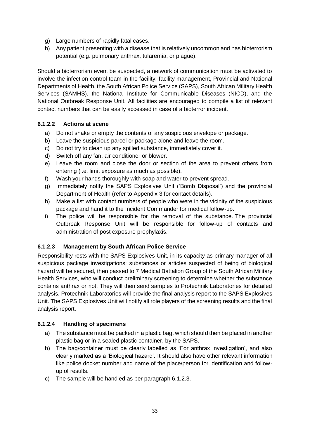- g) Large numbers of rapidly fatal cases.
- h) Any patient presenting with a disease that is relatively uncommon and has bioterrorism potential (e.g. pulmonary anthrax, tularemia, or plague).

Should a bioterrorism event be suspected, a network of communication must be activated to involve the infection control team in the facility, facility management, Provincial and National Departments of Health, the South African Police Service (SAPS), South African Military Health Services (SAMHS), the National Institute for Communicable Diseases (NICD), and the National Outbreak Response Unit. All facilities are encouraged to compile a list of relevant contact numbers that can be easily accessed in case of a bioterror incident.

#### <span id="page-22-0"></span>**6.1.2.2 Actions at scene**

- a) Do not shake or empty the contents of any suspicious envelope or package.
- b) Leave the suspicious parcel or package alone and leave the room.
- c) Do not try to clean up any spilled substance, immediately cover it.
- d) Switch off any fan, air conditioner or blower.
- e) Leave the room and close the door or section of the area to prevent others from entering (i.e. limit exposure as much as possible).
- f) Wash your hands thoroughly with soap and water to prevent spread.
- g) Immediately notify the SAPS Explosives Unit ('Bomb Disposal') and the provincial Department of Health (refer to Appendix 3 for contact details).
- h) Make a list with contact numbers of people who were in the vicinity of the suspicious package and hand it to the Incident Commander for medical follow-up.
- i) The police will be responsible for the removal of the substance. The provincial Outbreak Response Unit will be responsible for follow-up of contacts and administration of post exposure prophylaxis.

#### <span id="page-22-1"></span>**6.1.2.3 Management by South African Police Service**

Responsibility rests with the SAPS Explosives Unit, in its capacity as primary manager of all suspicious package investigations; substances or articles suspected of being of biological hazard will be secured, then passed to 7 Medical Battalion Group of the South African Military Health Services, who will conduct preliminary screening to determine whether the substance contains anthrax or not. They will then send samples to Protechnik Laboratories for detailed analysis. Protechnik Laboratories will provide the final analysis report to the SAPS Explosives Unit. The SAPS Explosives Unit will notify all role players of the screening results and the final analysis report.

#### <span id="page-22-2"></span>**6.1.2.4 Handling of specimens**

- a) The substance must be packed in a plastic bag, which should then be placed in another plastic bag or in a sealed plastic container, by the SAPS.
- b) The bag/container must be clearly labelled as 'For anthrax investigation', and also clearly marked as a 'Biological hazard'. It should also have other relevant information like police docket number and name of the place/person for identification and followup of results.
- c) The sample will be handled as per paragraph 6.1.2.3.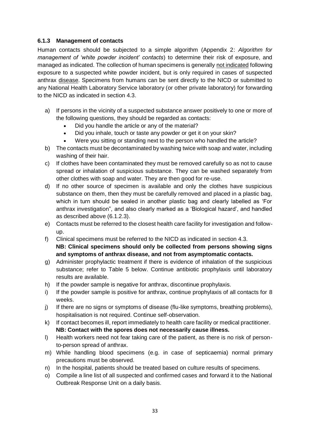#### <span id="page-23-0"></span>**6.1.3 Management of contacts**

Human contacts should be subjected to a simple algorithm (Appendix 2: *Algorithm for management of 'white powder incident' contacts*) to determine their risk of exposure, and managed as indicated. The collection of human specimens is generally not indicated following exposure to a suspected white powder incident, but is only required in cases of suspected anthrax disease. Specimens from humans can be sent directly to the NICD or submitted to any National Health Laboratory Service laboratory (or other private laboratory) for forwarding to the NICD as indicated in section 4.3.

- a) If persons in the vicinity of a suspected substance answer positively to one or more of the following questions, they should be regarded as contacts:
	- Did you handle the article or any of the material?
	- Did you inhale, touch or taste any powder or get it on your skin?
	- Were you sitting or standing next to the person who handled the article?
- b) The contacts must be decontaminated by washing twice with soap and water, including washing of their hair.
- c) If clothes have been contaminated they must be removed carefully so as not to cause spread or inhalation of suspicious substance. They can be washed separately from other clothes with soap and water. They are then good for re-use.
- d) If no other source of specimen is available and only the clothes have suspicious substance on them, then they must be carefully removed and placed in a plastic bag, which in turn should be sealed in another plastic bag and clearly labelled as 'For anthrax investigation", and also clearly marked as a 'Biological hazard', and handled as described above (6.1.2.3).
- e) Contacts must be referred to the closest health care facility for investigation and followup.
- f) Clinical specimens must be referred to the NICD as indicated in section 4.3. **NB: Clinical specimens should only be collected from persons showing signs and symptoms of anthrax disease, and not from asymptomatic contacts.**
- g) Administer prophylactic treatment if there is evidence of inhalation of the suspicious substance; refer to Table 5 below. Continue antibiotic prophylaxis until laboratory results are available.
- h) If the powder sample is negative for anthrax, discontinue prophylaxis.
- i) If the powder sample is positive for anthrax, continue prophylaxis of all contacts for 8 weeks.
- j) If there are no signs or symptoms of disease (flu-like symptoms, breathing problems), hospitalisation is not required. Continue self-observation.
- k) If contact becomes ill, report immediately to health care facility or medical practitioner. **NB: Contact with the spores does not necessarily cause illness.**
- l) Health workers need not fear taking care of the patient, as there is no risk of personto-person spread of anthrax.
- m) While handling blood specimens (e.g. in case of septicaemia) normal primary precautions must be observed.
- n) In the hospital, patients should be treated based on culture results of specimens.
- o) Compile a line list of all suspected and confirmed cases and forward it to the National Outbreak Response Unit on a daily basis.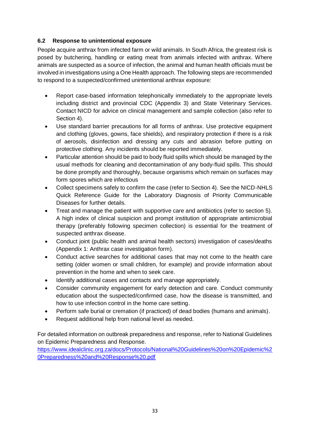#### <span id="page-24-0"></span>**6.2 Response to unintentional exposure**

People acquire anthrax from infected farm or wild animals. In South Africa, the greatest risk is posed by butchering, handling or eating meat from animals infected with anthrax. Where animals are suspected as a source of infection, the animal and human health officials must be involved in investigations using a One Health approach. The following steps are recommended to respond to a suspected/confirmed unintentional anthrax exposure:

- Report case-based information telephonically immediately to the appropriate levels including district and provincial CDC (Appendix 3) and State Veterinary Services. Contact NICD for advice on clinical management and sample collection (also refer to Section 4).
- Use standard barrier precautions for all forms of anthrax. Use protective equipment and clothing (gloves, gowns, face shields), and respiratory protection if there is a risk of aerosols, disinfection and dressing any cuts and abrasion before putting on protective clothing. Any incidents should be reported immediately.
- Particular attention should be paid to body fluid spills which should be managed by the usual methods for cleaning and decontamination of any body-fluid spills. This should be done promptly and thoroughly, because organisms which remain on surfaces may form spores which are infectious
- Collect specimens safely to confirm the case (refer to Section 4). See the NICD-NHLS Quick Reference Guide for the Laboratory Diagnosis of Priority Communicable Diseases for further details.
- Treat and manage the patient with supportive care and antibiotics (refer to section 5). A high index of clinical suspicion and prompt institution of appropriate antimicrobial therapy (preferably following specimen collection) is essential for the treatment of suspected anthrax disease.
- Conduct joint (public health and animal health sectors) investigation of cases/deaths (Appendix 1: Anthrax case investigation form).
- Conduct active searches for additional cases that may not come to the health care setting (older women or small children, for example) and provide information about prevention in the home and when to seek care.
- Identify additional cases and contacts and manage appropriately.
- Consider community engagement for early detection and care. Conduct community education about the suspected/confirmed case, how the disease is transmitted, and how to use infection control in the home care setting.
- Perform safe burial or cremation (if practiced) of dead bodies (humans and animals).
- Request additional help from national level as needed.

For detailed information on outbreak preparedness and response, refer to National Guidelines on Epidemic Preparedness and Response.

[https://www.idealclinic.org.za/docs/Protocols/National%20Guidelines%20on%20Epidemic%2](https://www.idealclinic.org.za/docs/Protocols/National%20Guidelines%20on%20Epidemic%20Preparedness%20and%20Response%20.pdf) [0Preparedness%20and%20Response%20.pdf](https://www.idealclinic.org.za/docs/Protocols/National%20Guidelines%20on%20Epidemic%20Preparedness%20and%20Response%20.pdf)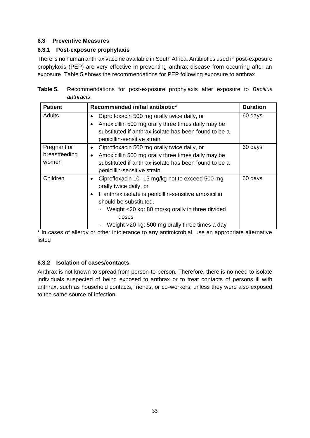#### <span id="page-25-0"></span>**6.3 Preventive Measures**

#### <span id="page-25-1"></span>**6.3.1 Post-exposure prophylaxis**

There is no human anthrax vaccine available in South Africa. Antibiotics used in post-exposure prophylaxis (PEP) are very effective in preventing anthrax disease from occurring after an exposure. Table 5 shows the recommendations for PEP following exposure to anthrax.

| Table 5. Recommendations for post-exposure prophylaxis after exposure to Bacillus |  |  |  |  |
|-----------------------------------------------------------------------------------|--|--|--|--|
| anthracis.                                                                        |  |  |  |  |

| <b>Patient</b>                        | Recommended initial antibiotic*                                                                                                                                                                                                                                                                                                   | <b>Duration</b> |
|---------------------------------------|-----------------------------------------------------------------------------------------------------------------------------------------------------------------------------------------------------------------------------------------------------------------------------------------------------------------------------------|-----------------|
| Adults                                | Ciprofloxacin 500 mg orally twice daily, or<br>٠<br>Amoxicillin 500 mg orally three times daily may be<br>$\bullet$<br>substituted if anthrax isolate has been found to be a<br>penicillin-sensitive strain.                                                                                                                      | 60 days         |
| Pregnant or<br>breastfeeding<br>women | Ciprofloxacin 500 mg orally twice daily, or<br>$\bullet$<br>Amoxicillin 500 mg orally three times daily may be<br>$\bullet$<br>substituted if anthrax isolate has been found to be a<br>penicillin-sensitive strain.                                                                                                              | 60 days         |
| Children                              | Ciprofloxacin 10 -15 mg/kg not to exceed 500 mg<br>$\bullet$<br>orally twice daily, or<br>If anthrax isolate is penicillin-sensitive amoxicillin<br>$\bullet$<br>should be substituted.<br>Weight <20 kg: 80 mg/kg orally in three divided<br>$\overline{\phantom{0}}$<br>doses<br>Weight >20 kg: 500 mg orally three times a day | 60 days         |

\* In cases of allergy or other intolerance to any antimicrobial, use an appropriate alternative listed

#### <span id="page-25-2"></span>**6.3.2 Isolation of cases/contacts**

Anthrax is not known to spread from person-to-person. Therefore, there is no need to isolate individuals suspected of being exposed to anthrax or to treat contacts of persons ill with anthrax, such as household contacts, friends, or co-workers, unless they were also exposed to the same source of infection.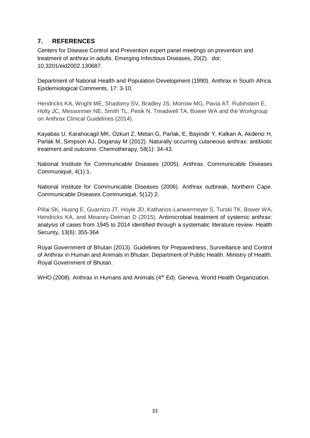#### <span id="page-26-0"></span>**7. REFERENCES**

Centers for Disease Control and Prevention expert panel meetings on prevention and treatment of anthrax in adults. Emerging Infectious Diseases, 20(2). doi: 10.3201/eid2002.130687.

Department of National Health and Population Development (1990). Anthrax in South Africa. Epidemiological Comments, 17: 3-10.

Hendricks KA, Wright ME, Shadomy SV, Bradley JS, Morrow MG, Pavia AT, Rubinstein E, Holty JC, Messonnier NE, Smith TL, Pesik N, Treadwell TA, Bower WA and the Workgroup on Anthrax Clinical Guidelines (2014).

[Kayabas U,](http://www.ncbi.nlm.nih.gov/pubmed/?term=Kayabas%20U%5BAuthor%5D&cauthor=true&cauthor_uid=22343361) [Karahocagil MK,](http://www.ncbi.nlm.nih.gov/pubmed/?term=Karahocagil%20MK%5BAuthor%5D&cauthor=true&cauthor_uid=22343361) [Ozkurt Z,](http://www.ncbi.nlm.nih.gov/pubmed/?term=Ozkurt%20Z%5BAuthor%5D&cauthor=true&cauthor_uid=22343361) [Metan G,](http://www.ncbi.nlm.nih.gov/pubmed/?term=Metan%20G%5BAuthor%5D&cauthor=true&cauthor_uid=22343361) [Parlak, E,](http://www.ncbi.nlm.nih.gov/pubmed/?term=Parlak%20E%5BAuthor%5D&cauthor=true&cauthor_uid=22343361) [Bayindir Y,](http://www.ncbi.nlm.nih.gov/pubmed/?term=Bayindir%20Y%5BAuthor%5D&cauthor=true&cauthor_uid=22343361) [Kalkan A,](http://www.ncbi.nlm.nih.gov/pubmed/?term=Kalkan%20A%5BAuthor%5D&cauthor=true&cauthor_uid=22343361) [Akdeniz H,](http://www.ncbi.nlm.nih.gov/pubmed/?term=Akdeniz%20H%5BAuthor%5D&cauthor=true&cauthor_uid=22343361) [Parlak M,](http://www.ncbi.nlm.nih.gov/pubmed/?term=Parlak%20M%5BAuthor%5D&cauthor=true&cauthor_uid=22343361) [Simpson AJ,](http://www.ncbi.nlm.nih.gov/pubmed/?term=Simpson%20AJ%5BAuthor%5D&cauthor=true&cauthor_uid=22343361) [Doganay M](http://www.ncbi.nlm.nih.gov/pubmed/?term=Doganay%20M%5BAuthor%5D&cauthor=true&cauthor_uid=22343361) (2012). Naturally occurring cutaneous anthrax: antibiotic treatment and outcome. Chemotherapy, 58(1): 34-43.

National Institute for Communicable Diseases (2005). Anthrax. Communicable Diseases Communiqué, 4(1):1.

National Institute for Communicable Diseases (2006). Anthrax outbreak, Northern Cape. Communicable Diseases Communiqué, 5(12):2.

Pillai SK, Huang E, Guarnizo JT, Hoyle JD, Katharios-Lanwermeyer S, Turski TK, Bower WA, Hendricks KA, and Meaney-Delman D (2015). Antimicrobial treatment of systemic anthrax: analysis of cases from 1945 to 2014 identified through a systematic literature review. Health Security, 13(6): 355-364

Royal Government of Bhutan (2013). Guidelines for Preparedness, Surveillance and Control of Anthrax in Human and Animals in Bhutan. Department of Public Health. Ministry of Health. Royal Government of Bhutan.

WHO (2008). Anthrax in Humans and Animals (4<sup>th</sup> Ed). Geneva, World Health Organization.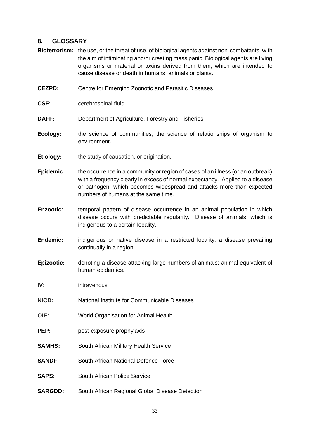#### <span id="page-27-0"></span>**8. GLOSSARY**

- **Bioterrorism:** the use, or the threat of use, of biological agents against non-combatants, with the aim of intimidating and/or creating mass panic. Biological agents are living organisms or material or toxins derived from them, which are intended to cause disease or death in humans, animals or plants.
- **CEZPD:** Centre for Emerging Zoonotic and Parasitic Diseases
- **CSF: cerebrospinal fluid**
- **DAFF:** Department of Agriculture, Forestry and Fisheries
- **Ecology:** the science of communities; the science of relationships of organism to environment.
- **Etiology:** the study of causation, or origination.
- **Epidemic:** the occurrence in a community or region of cases of an illness (or an outbreak) with a frequency clearly in excess of normal expectancy. Applied to a disease or pathogen, which becomes widespread and attacks more than expected numbers of humans at the same time.
- **Enzootic:** temporal pattern of disease occurrence in an animal population in which disease occurs with predictable regularity. Disease of animals, which is indigenous to a certain locality.
- **Endemic:** indigenous or native disease in a restricted locality; a disease prevailing continually in a region.
- **Epizootic:** denoting a disease attacking large numbers of animals; animal equivalent of human epidemics.
- **IV:** intravenous
- **NICD:** National Institute for Communicable Diseases
- **OIE:** World Organisation for Animal Health
- **PEP:** post-exposure prophylaxis
- **SAMHS:** South African Military Health Service
- **SANDF:** South African National Defence Force
- **SAPS:** South African Police Service
- **SARGDD:** South African Regional Global Disease Detection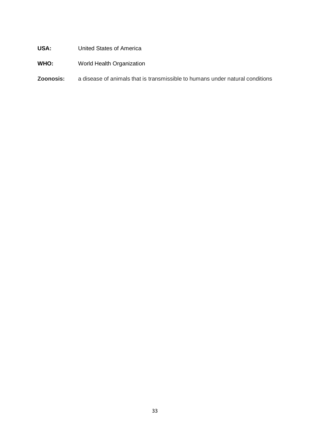#### **USA:** United States of America

## **WHO:** World Health Organization

#### **Zoonosis:** a disease of animals that is transmissible to humans under natural conditions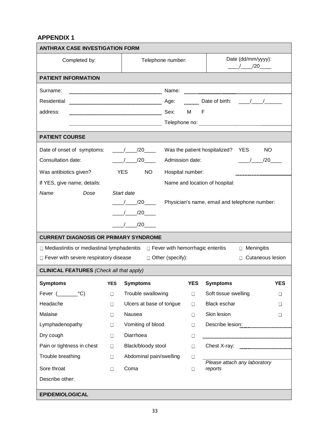#### <span id="page-29-0"></span>**APPENDIX 1**

| Date (dd/mm/yyyy):<br>Telephone number:<br>Completed by:<br>$\frac{1}{20}$ /20                               |  |  |  |  |
|--------------------------------------------------------------------------------------------------------------|--|--|--|--|
| <b>PATIENT INFORMATION</b>                                                                                   |  |  |  |  |
| Surname:                                                                                                     |  |  |  |  |
| Residential                                                                                                  |  |  |  |  |
| address:                                                                                                     |  |  |  |  |
|                                                                                                              |  |  |  |  |
| <b>PATIENT COURSE</b>                                                                                        |  |  |  |  |
| / / /20 Was the patient hospitalized? YES<br><b>NO</b><br>Date of onset of symptoms:                         |  |  |  |  |
| Consultation date:<br>/ /20 Admission date:<br>$/$ $/20$                                                     |  |  |  |  |
| <b>YES</b><br>Was antibiotics given?<br>NO <sub>1</sub><br>Hospital number:                                  |  |  |  |  |
| Name and location of hospital:<br>If YES, give name, details:                                                |  |  |  |  |
| Name<br>Start date<br>Dose                                                                                   |  |  |  |  |
| Physician's name, email and telephone number:<br>$\frac{1}{20}$                                              |  |  |  |  |
| $\frac{1}{20}$                                                                                               |  |  |  |  |
| $/$ $/20$                                                                                                    |  |  |  |  |
| <b>CURRENT DIAGNOSIS OR PRIMARY SYNDROME</b>                                                                 |  |  |  |  |
| $\Box$ Mediastinitis or mediastinal lymphadenitis<br>□ Fever with hemorrhagic enteritis<br>$\Box$ Meningitis |  |  |  |  |
| $\Box$ Fever with severe respiratory disease<br>$\Box$ Other (specify):<br>Cutaneous lesion                  |  |  |  |  |
| <b>CLINICAL FEATURES</b> (Check all that apply)                                                              |  |  |  |  |
| <b>YES</b><br><b>Symptoms</b><br><b>YES</b><br><b>Symptoms</b><br><b>YES</b><br><b>Symptoms</b>              |  |  |  |  |
| Fever $($ °C)<br>Trouble swallowing<br>Soft tissue swelling<br>$\Box$<br>$\Box$<br>$\Box$                    |  |  |  |  |
| Ulcers at base of tongue<br>Black eschar<br>Headache<br>$\Box$<br>$\Box$<br>$\Box$                           |  |  |  |  |
| Malaise<br>Skin lesion<br>Nausea<br>$\Box$<br>$\Box$<br>Π                                                    |  |  |  |  |
| Lymphadenopathy<br>Vomiting of blood<br>$\Box$<br>$\Box$                                                     |  |  |  |  |
| Diarrhoea<br>Dry cough<br>$\Box$<br>$\Box$                                                                   |  |  |  |  |
| Chest X-ray:<br>Pain or tightness in chest<br>Black/bloody stool<br>$\Box$<br>$\Box$                         |  |  |  |  |
| Trouble breathing<br>Abdominal pain/swelling<br>$\Box$<br>$\Box$                                             |  |  |  |  |
| Please attach any laboratory<br>Sore throat<br>Coma<br>reports<br>$\Box$<br>$\Box$                           |  |  |  |  |
| Describe other:                                                                                              |  |  |  |  |
| <b>EPIDEMIOLOGICAL</b>                                                                                       |  |  |  |  |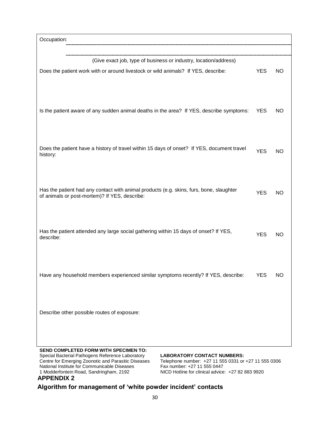| Occupation:                                                                                                                                                                                                                                                                                                                                                                                                                                               |            |           |
|-----------------------------------------------------------------------------------------------------------------------------------------------------------------------------------------------------------------------------------------------------------------------------------------------------------------------------------------------------------------------------------------------------------------------------------------------------------|------------|-----------|
| (Give exact job, type of business or industry, location/address)<br>Does the patient work with or around livestock or wild animals? If YES, describe:                                                                                                                                                                                                                                                                                                     | <b>YES</b> | <b>NO</b> |
| Is the patient aware of any sudden animal deaths in the area? If YES, describe symptoms:                                                                                                                                                                                                                                                                                                                                                                  | <b>YES</b> | NO.       |
| Does the patient have a history of travel within 15 days of onset? If YES, document travel<br>history:                                                                                                                                                                                                                                                                                                                                                    | <b>YES</b> | NO        |
| Has the patient had any contact with animal products (e.g. skins, furs, bone, slaughter<br>of animals or post-mortem)? If YES, describe:                                                                                                                                                                                                                                                                                                                  | <b>YES</b> | NO        |
| Has the patient attended any large social gathering within 15 days of onset? If YES,<br>describe:                                                                                                                                                                                                                                                                                                                                                         | <b>YES</b> | <b>NO</b> |
| Have any household members experienced similar symptoms recently? If YES, describe:                                                                                                                                                                                                                                                                                                                                                                       | <b>YES</b> | NO        |
| Describe other possible routes of exposure:                                                                                                                                                                                                                                                                                                                                                                                                               |            |           |
| <b>SEND COMPLETED FORM WITH SPECIMEN TO:</b><br>Special Bacterial Pathogens Reference Laboratory<br><b>LABORATORY CONTACT NUMBERS:</b><br>Centre for Emerging Zoonotic and Parasitic Diseases<br>Telephone number: +27 11 555 0331 or +27 11 555 0306<br>National Institute for Communicable Diseases<br>Fax number: +27 11 555 0447<br>1 Modderfontein Road, Sandringham, 2192<br>NICD Hotline for clinical advice: +27 82 883 9920<br><b>APPENDIX 2</b> |            |           |

# <span id="page-30-0"></span>**Algorithm for management of 'white powder incident' contacts**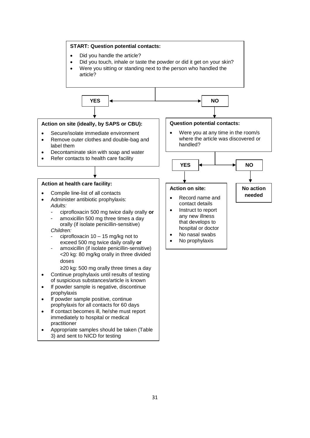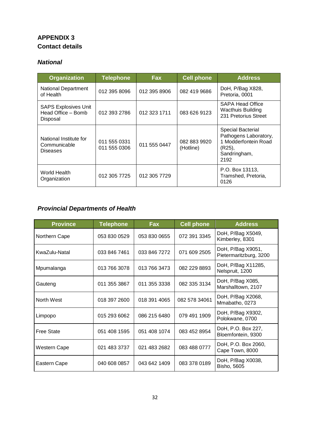## <span id="page-32-0"></span>**APPENDIX 3 Contact details**

#### *National*

| <b>Organization</b>                                           | <b>Telephone</b>             | <b>Fax</b>   | <b>Cell phone</b>         | <b>Address</b>                                                                                       |
|---------------------------------------------------------------|------------------------------|--------------|---------------------------|------------------------------------------------------------------------------------------------------|
| <b>National Department</b><br>of Health                       | 012 395 8096                 | 012 395 8906 | 082 419 9686              | DoH, P/Bag X828,<br>Pretoria, 0001                                                                   |
| <b>SAPS Explosives Unit</b><br>Head Office - Bomb<br>Disposal | 012 393 2786                 | 012 323 1711 | 083 626 9123              | <b>SAPA Head Office</b><br><b>Wacthuis Building</b><br>231 Pretorius Street                          |
| National Institute for<br>Communicable<br><b>Diseases</b>     | 011 555 0331<br>011 555 0306 | 011 555 0447 | 082 883 9920<br>(Hotline) | Special Bacterial<br>Pathogens Laboratory,<br>1 Modderfontein Road<br>(R25),<br>Sandringham,<br>2192 |
| World Health<br>Organization                                  | 012 305 7725                 | 012 305 7729 |                           | P.O. Box 13113,<br>Tramshed, Pretoria,<br>0126                                                       |

## *Provincial Departments of Health*

| <b>Province</b>   | <b>Telephone</b> | Fax          | <b>Cell phone</b> | <b>Address</b>                              |
|-------------------|------------------|--------------|-------------------|---------------------------------------------|
| Northern Cape     | 053 830 0529     | 053 830 0655 | 072 391 3345      | DoH, P/Bag X5049,<br>Kimberley, 8301        |
| KwaZulu-Natal     | 033 846 7461     | 033 846 7272 | 071 609 2505      | DoH, P/Bag X9051,<br>Pietermaritzburg, 3200 |
| Mpumalanga        | 013 766 3078     | 013 766 3473 | 082 229 8893      | DoH, P/Bag X11285,<br>Nelspruit, 1200       |
| Gauteng           | 011 355 3867     | 011 355 3338 | 082 335 3134      | DoH, P/Bag X085,<br>Marshalltown, 2107      |
| North West        | 018 397 2600     | 018 391 4065 | 082 578 34061     | DoH, P/Bag X2068,<br>Mmabatho, 0273         |
| Limpopo           | 015 293 6062     | 086 215 6480 | 079 491 1909      | DoH, P/Bag X9302,<br>Polokwane, 0700        |
| <b>Free State</b> | 051 408 1595     | 051 408 1074 | 083 452 8954      | DoH, P.O. Box 227,<br>Bloemfontein, 9300    |
| Western Cape      | 021 483 3737     | 021 483 2682 | 083 488 0777      | DoH, P.O. Box 2060,<br>Cape Town, 8000      |
| Eastern Cape      | 040 608 0857     | 043 642 1409 | 083 378 0189      | DoH, P/Bag X0038,<br>Bisho, 5605            |